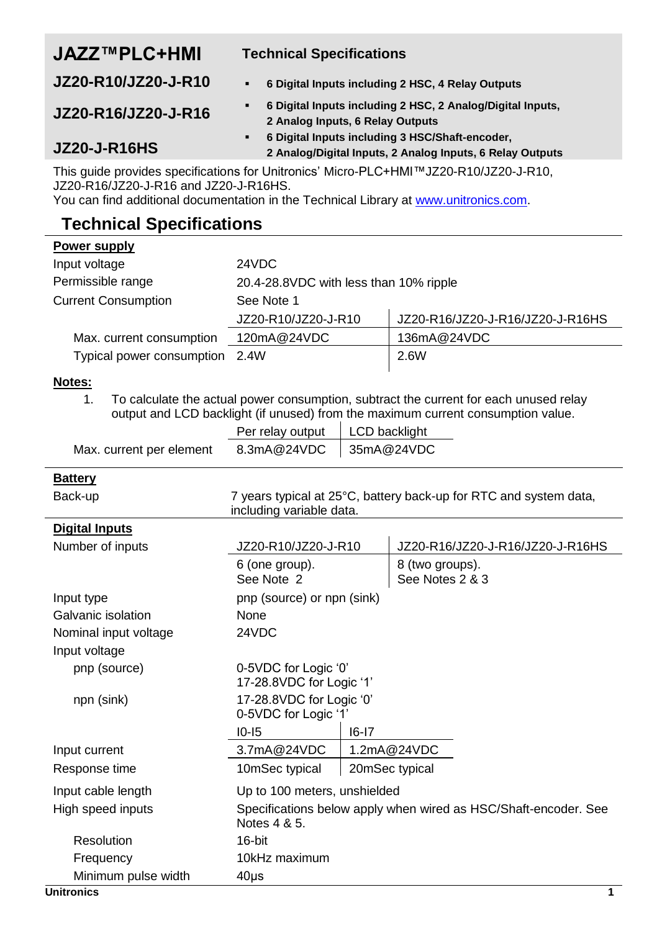## **JAZZ™PLC+HMI Technical Specifications**

**JZ20-R10/JZ20-J-R10 6 Digital Inputs including 2 HSC, 4 Relay Outputs**

- **JZ20-R16/JZ20-J-R16 6 Digital Inputs including 2 HSC, 2 Analog/Digital Inputs, 2 Analog Inputs, 6 Relay Outputs 6 Digital Inputs including 3 HSC/Shaft-encoder,**
- **JZ20-J-R16HS**
- **2 Analog/Digital Inputs, 2 Analog Inputs, 6 Relay Outputs**

This guide provides specifications for Unitronics' Micro-PLC+HMI™JZ20-R10/JZ20-J-R10, JZ20-R16/JZ20-J-R16 and JZ20-J-R16HS.

You can find additional documentation in the Technical Library a[t www.unitronics.com.](http://www.unitronics.com/)

# **Technical Specifications**

|--|

| I AMAI JANNIA                  |                                         |                                  |
|--------------------------------|-----------------------------------------|----------------------------------|
| Input voltage                  | 24VDC                                   |                                  |
| Permissible range              | 20.4-28.8 VDC with less than 10% ripple |                                  |
| <b>Current Consumption</b>     | See Note 1                              |                                  |
|                                | JZ20-R10/JZ20-J-R10                     | JZ20-R16/JZ20-J-R16/JZ20-J-R16HS |
| Max. current consumption       | 120mA@24VDC                             | 136mA@24VDC                      |
| Typical power consumption 2.4W |                                         | 2.6W                             |

### <span id="page-0-0"></span>**Notes:**

1. To calculate the actual power consumption, subtract the current for each unused relay output and LCD backlight (if unused) from the maximum current consumption value.

|                          | Per relay output   LCD backlight |  |
|--------------------------|----------------------------------|--|
| Max. current per element | 8.3mA@24VDC 35mA@24VDC           |  |

### **Battery**

| Back-up               | including variable data.                         |           | 7 years typical at 25°C, battery back-up for RTC and system data, |
|-----------------------|--------------------------------------------------|-----------|-------------------------------------------------------------------|
| <b>Digital Inputs</b> |                                                  |           |                                                                   |
| Number of inputs      | JZ20-R10/JZ20-J-R10                              |           | JZ20-R16/JZ20-J-R16/JZ20-J-R16HS                                  |
|                       | 6 (one group).<br>See Note 2                     |           | 8 (two groups).<br>See Notes 2 & 3                                |
| Input type            | pnp (source) or npn (sink)                       |           |                                                                   |
| Galvanic isolation    | None                                             |           |                                                                   |
| Nominal input voltage | 24VDC                                            |           |                                                                   |
| Input voltage         |                                                  |           |                                                                   |
| pnp (source)          | 0-5VDC for Logic '0'<br>17-28.8VDC for Logic '1' |           |                                                                   |
| npn (sink)            | 17-28.8VDC for Logic '0'<br>0-5VDC for Logic '1' |           |                                                                   |
|                       | $10 - 15$                                        | $16 - 17$ |                                                                   |
| Input current         | 3.7mA@24VDC                                      |           | 1.2mA@24VDC                                                       |
| Response time         | 10mSec typical                                   |           | 20mSec typical                                                    |
| Input cable length    | Up to 100 meters, unshielded                     |           |                                                                   |
| High speed inputs     | Notes 4 & 5.                                     |           | Specifications below apply when wired as HSC/Shaft-encoder. See   |
| Resolution            | 16-bit                                           |           |                                                                   |
| Frequency             | 10kHz maximum                                    |           |                                                                   |
| Minimum pulse width   | $40\mu$ s                                        |           |                                                                   |
| Unitronics            |                                                  |           | 1                                                                 |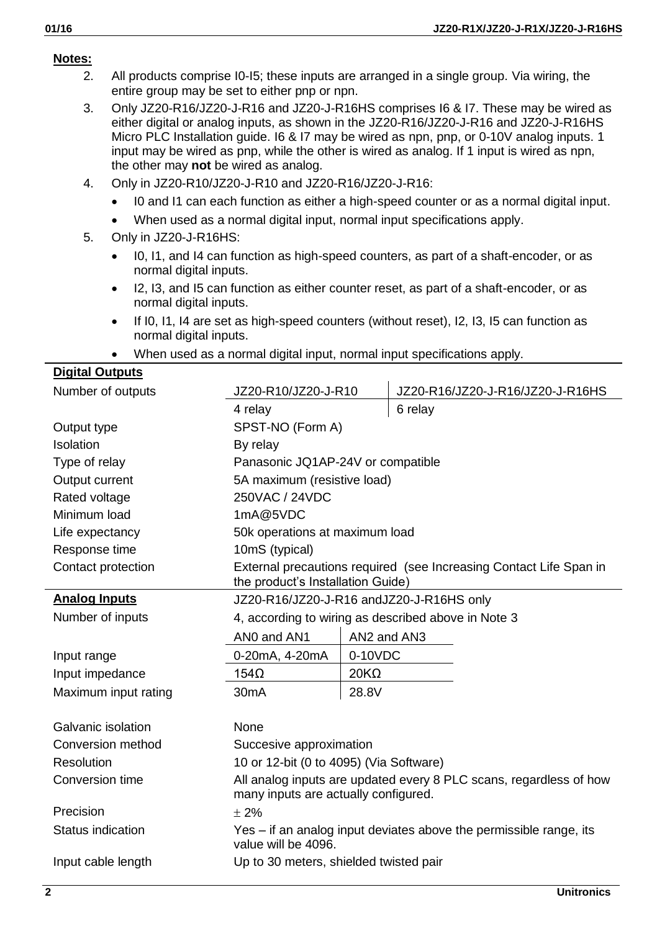### <span id="page-1-0"></span>**Notes:**

- 2. All products comprise I0-I5; these inputs are arranged in a single group. Via wiring, the entire group may be set to either pnp or npn.
- <span id="page-1-1"></span>3. Only JZ20-R16/JZ20-J-R16 and JZ20-J-R16HS comprises I6 & I7. These may be wired as either digital or analog inputs, as shown in the JZ20-R16/JZ20-J-R16 and JZ20-J-R16HS Micro PLC Installation guide. I6 & I7 may be wired as npn, pnp, or 0-10V analog inputs. 1 input may be wired as pnp, while the other is wired as analog. If 1 input is wired as npn, the other may **not** be wired as analog.
- 4. Only in JZ20-R10/JZ20-J-R10 and JZ20-R16/JZ20-J-R16:
	- I0 and I1 can each function as either a high-speed counter or as a normal digital input.
	- When used as a normal digital input, normal input specifications apply.
- 5. Only in JZ20-J-R16HS:
	- I0, I1, and I4 can function as high-speed counters, as part of a shaft-encoder, or as normal digital inputs.
	- I2, I3, and I5 can function as either counter reset, as part of a shaft-encoder, or as normal digital inputs.
	- $\bullet$  If I0, I1, I4 are set as high-speed counters (without reset), I2, I3, I5 can function as normal digital inputs.
	- When used as a normal digital input, normal input specifications apply.

### **Digital Outputs**

| Number of outputs    | JZ20-R10/JZ20-J-R10                                                                                        |             | JZ20-R16/JZ20-J-R16/JZ20-J-R16HS                                   |
|----------------------|------------------------------------------------------------------------------------------------------------|-------------|--------------------------------------------------------------------|
|                      | 4 relay                                                                                                    |             | 6 relay                                                            |
| Output type          | SPST-NO (Form A)                                                                                           |             |                                                                    |
| Isolation            | By relay                                                                                                   |             |                                                                    |
| Type of relay        | Panasonic JQ1AP-24V or compatible                                                                          |             |                                                                    |
| Output current       | 5A maximum (resistive load)                                                                                |             |                                                                    |
| Rated voltage        | 250VAC / 24VDC                                                                                             |             |                                                                    |
| Minimum load         | 1mA@5VDC                                                                                                   |             |                                                                    |
| Life expectancy      | 50k operations at maximum load                                                                             |             |                                                                    |
| Response time        | 10mS (typical)                                                                                             |             |                                                                    |
| Contact protection   | the product's Installation Guide)                                                                          |             | External precautions required (see Increasing Contact Life Span in |
| <b>Analog Inputs</b> | JZ20-R16/JZ20-J-R16 andJZ20-J-R16HS only                                                                   |             |                                                                    |
| Number of inputs     | 4, according to wiring as described above in Note 3                                                        |             |                                                                    |
|                      | ANO and AN1                                                                                                | AN2 and AN3 |                                                                    |
| Input range          | 0-20mA, 4-20mA                                                                                             | 0-10VDC     |                                                                    |
| Input impedance      | $154\Omega$                                                                                                | $20K\Omega$ |                                                                    |
| Maximum input rating | 30 <sub>m</sub> A                                                                                          | 28.8V       |                                                                    |
| Galvanic isolation   | None                                                                                                       |             |                                                                    |
| Conversion method    | Succesive approximation                                                                                    |             |                                                                    |
| Resolution           | 10 or 12-bit (0 to 4095) (Via Software)                                                                    |             |                                                                    |
| Conversion time      | All analog inputs are updated every 8 PLC scans, regardless of how<br>many inputs are actually configured. |             |                                                                    |
| Precision            | $+2%$                                                                                                      |             |                                                                    |
| Status indication    | Yes - if an analog input deviates above the permissible range, its<br>value will be 4096.                  |             |                                                                    |
| Input cable length   | Up to 30 meters, shielded twisted pair                                                                     |             |                                                                    |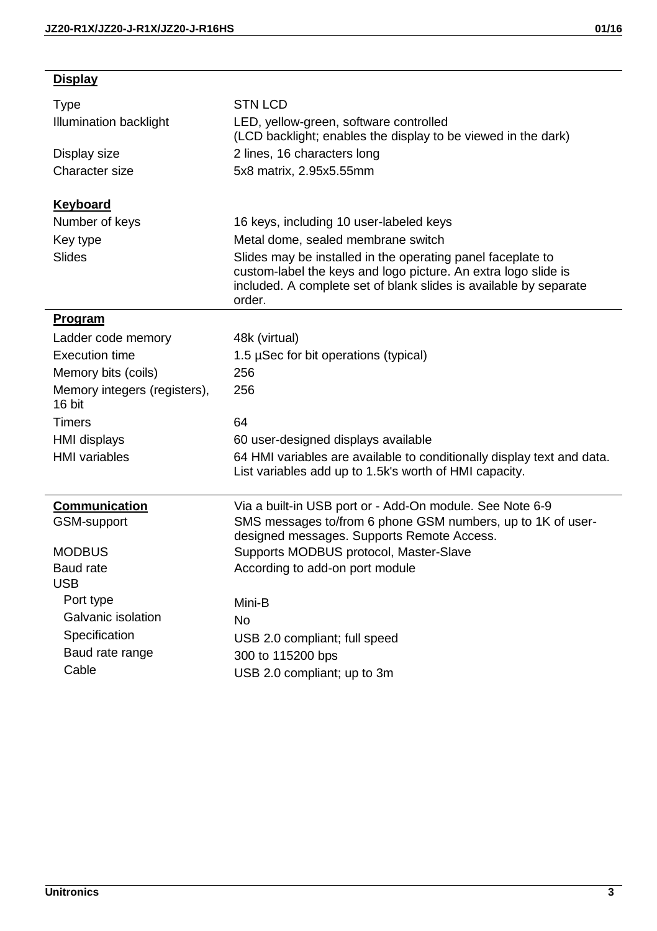**Display**

| Type                                   | <b>STN LCD</b>                                                                                                                                                                                               |
|----------------------------------------|--------------------------------------------------------------------------------------------------------------------------------------------------------------------------------------------------------------|
| Illumination backlight                 | LED, yellow-green, software controlled<br>(LCD backlight; enables the display to be viewed in the dark)                                                                                                      |
| Display size                           | 2 lines, 16 characters long                                                                                                                                                                                  |
| Character size                         | 5x8 matrix, 2.95x5.55mm                                                                                                                                                                                      |
|                                        |                                                                                                                                                                                                              |
| Keyboard<br>Number of keys             |                                                                                                                                                                                                              |
|                                        | 16 keys, including 10 user-labeled keys<br>Metal dome, sealed membrane switch                                                                                                                                |
| Key type<br><b>Slides</b>              |                                                                                                                                                                                                              |
|                                        | Slides may be installed in the operating panel faceplate to<br>custom-label the keys and logo picture. An extra logo slide is<br>included. A complete set of blank slides is available by separate<br>order. |
| Program                                |                                                                                                                                                                                                              |
| Ladder code memory                     | 48k (virtual)                                                                                                                                                                                                |
| Execution time                         | 1.5 µSec for bit operations (typical)                                                                                                                                                                        |
| Memory bits (coils)                    | 256                                                                                                                                                                                                          |
| Memory integers (registers),<br>16 bit | 256                                                                                                                                                                                                          |
| <b>Timers</b>                          | 64                                                                                                                                                                                                           |
| <b>HMI</b> displays                    | 60 user-designed displays available                                                                                                                                                                          |
| <b>HMI</b> variables                   | 64 HMI variables are available to conditionally display text and data.<br>List variables add up to 1.5k's worth of HMI capacity.                                                                             |
| Communication                          | Via a built-in USB port or - Add-On module. See Note 6-9                                                                                                                                                     |
| GSM-support                            | SMS messages to/from 6 phone GSM numbers, up to 1K of user-<br>designed messages. Supports Remote Access.                                                                                                    |
| <b>MODBUS</b>                          | Supports MODBUS protocol, Master-Slave                                                                                                                                                                       |
| Baud rate<br><b>USB</b>                | According to add-on port module                                                                                                                                                                              |
| Port type                              | Mini-B                                                                                                                                                                                                       |
| Galvanic isolation                     | No                                                                                                                                                                                                           |
| Specification                          | USB 2.0 compliant; full speed                                                                                                                                                                                |
| Baud rate range                        | 300 to 115200 bps                                                                                                                                                                                            |
| Cable                                  | USB 2.0 compliant; up to 3m                                                                                                                                                                                  |
|                                        |                                                                                                                                                                                                              |